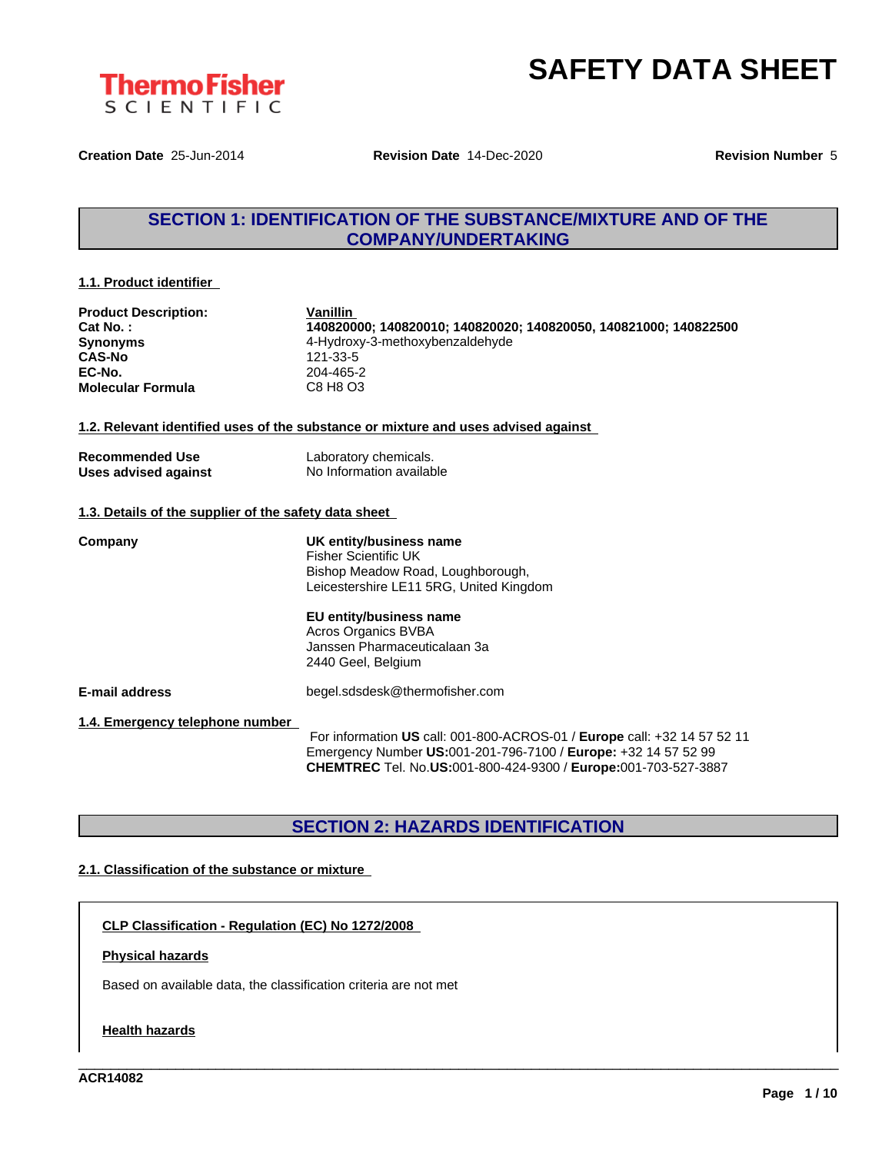

**Creation Date** 25-Jun-2014 **Revision Date** 14-Dec-2020 **Revision Number** 5

# **SECTION 1: IDENTIFICATION OF THE SUBSTANCE/MIXTURE AND OF THE COMPANY/UNDERTAKING**

# **1.1. Product identifier**

| <b>Product Description:</b> |  |
|-----------------------------|--|
| Cat No.:                    |  |
| <b>Synonyms</b>             |  |
| <b>CAS-No</b>               |  |
| EC-No.                      |  |
| <b>Molecular Formula</b>    |  |

**Vanillin Cat No. : 140820000; 140820010; 140820020; 140820050, 140821000; 140822500 Synonyms** 4-Hydroxy-3-methoxybenzaldehyde **CAS-No** 121-33-5 **EC-No.** 204-465-2 **Molecular Formula** C8 H8 O3

### **1.2. Relevant identified uses of the substance or mixture and uses advised against**

| <b>Recommended Use</b> | Laboratory chemicals.    |
|------------------------|--------------------------|
| Uses advised against   | No Information available |

# **1.3. Details of the supplier of the safety data sheet**

**Company UK entity/business name** Fisher Scientific UK Bishop Meadow Road, Loughborough, Leicestershire LE11 5RG, United Kingdom

### **EU entity/business name** Acros Organics BVBA

Janssen Pharmaceuticalaan 3a 2440 Geel, Belgium

**E-mail address** begel.sdsdesk@thermofisher.com

**1.4. Emergency telephone number**

For information **US** call: 001-800-ACROS-01 / **Europe** call: +32 14 57 52 11 Emergency Number **US:**001-201-796-7100 / **Europe:** +32 14 57 52 99 **CHEMTREC** Tel. No.**US:**001-800-424-9300 / **Europe:**001-703-527-3887

\_\_\_\_\_\_\_\_\_\_\_\_\_\_\_\_\_\_\_\_\_\_\_\_\_\_\_\_\_\_\_\_\_\_\_\_\_\_\_\_\_\_\_\_\_\_\_\_\_\_\_\_\_\_\_\_\_\_\_\_\_\_\_\_\_\_\_\_\_\_\_\_\_\_\_\_\_\_\_\_\_\_\_\_\_\_\_\_\_\_\_\_\_\_

# **SECTION 2: HAZARDS IDENTIFICATION**

# **2.1. Classification of the substance or mixture**

**CLP Classification - Regulation (EC) No 1272/2008**

# **Physical hazards**

Based on available data, the classification criteria are not met

# **Health hazards**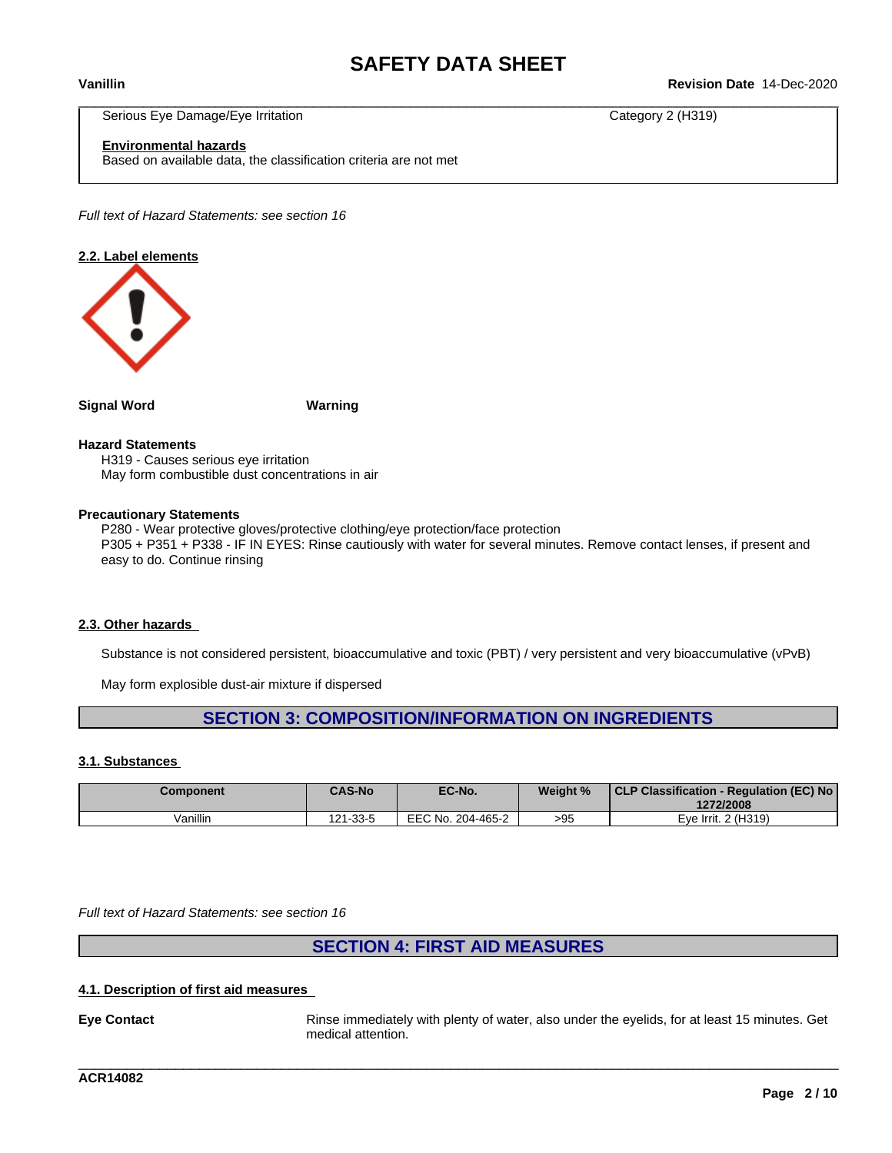\_\_\_\_\_\_\_\_\_\_\_\_\_\_\_\_\_\_\_\_\_\_\_\_\_\_\_\_\_\_\_\_\_\_\_\_\_\_\_\_\_\_\_\_\_\_\_\_\_\_\_\_\_\_\_\_\_\_\_\_\_\_\_\_\_\_\_\_\_\_\_\_\_\_\_\_\_\_\_\_\_\_\_\_\_\_\_\_\_\_\_\_\_\_ **Vanillin Revision Date** 14-Dec-2020

Serious Eye Damage/Eye Irritation Category 2 (H319)

**Environmental hazards**

Based on available data, the classification criteria are not met

*Full text of Hazard Statements: see section 16*

# **2.2. Label elements**



**Signal Word Warning**

### **Hazard Statements**

H319 - Causes serious eye irritation May form combustible dust concentrations in air

### **Precautionary Statements**

P280 - Wear protective gloves/protective clothing/eye protection/face protection P305 + P351 + P338 - IF IN EYES: Rinse cautiously with water for several minutes. Remove contact lenses, if present and easy to do. Continue rinsing

# **2.3. Other hazards**

Substance is not considered persistent, bioaccumulative and toxic (PBT) / very persistent and very bioaccumulative (vPvB)

May form explosible dust-air mixture if dispersed

# **SECTION 3: COMPOSITION/INFORMATION ON INGREDIENTS**

# **3.1. Substances**

| <b>Component</b> | <b>CAS-No</b> | EC-No.            | Weight % | CLP Classification - Regulation (EC) No<br>1272/2008 |
|------------------|---------------|-------------------|----------|------------------------------------------------------|
| Vanillin         | 121-33-5      | EEC No. 204-465-2 | >95      | Eve Irrit, 2 (H319)                                  |

*Full text of Hazard Statements: see section 16*

# **SECTION 4: FIRST AID MEASURES**

# **4.1. Description of first aid measures**

**Eye Contact** Rinse immediately with plenty of water, also under the eyelids, for at least 15 minutes. Get medical attention.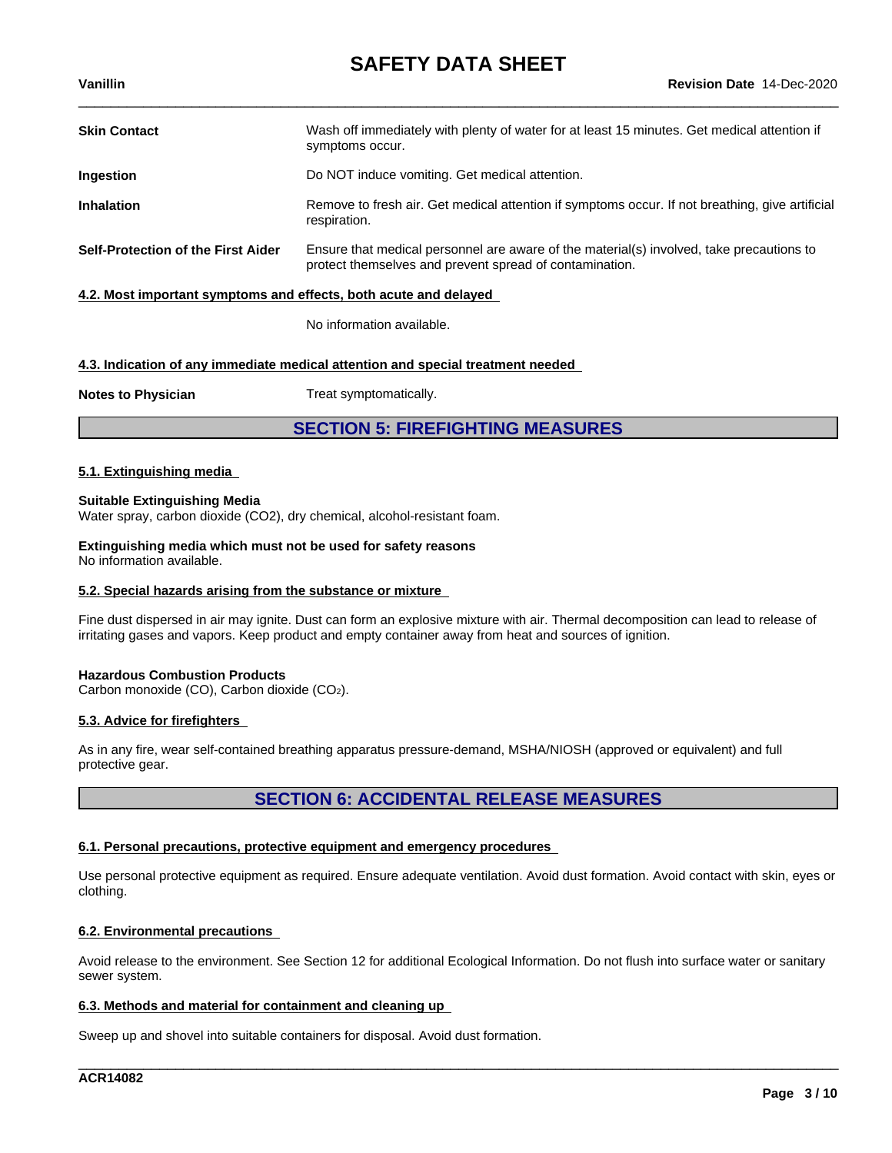| <b>Skin Contact</b>                                              | Wash off immediately with plenty of water for at least 15 minutes. Get medical attention if<br>symptoms occur.                                      |
|------------------------------------------------------------------|-----------------------------------------------------------------------------------------------------------------------------------------------------|
| <b>Ingestion</b>                                                 | Do NOT induce vomiting. Get medical attention.                                                                                                      |
| <b>Inhalation</b>                                                | Remove to fresh air. Get medical attention if symptoms occur. If not breathing, give artificial<br>respiration.                                     |
| Self-Protection of the First Aider                               | Ensure that medical personnel are aware of the material(s) involved, take precautions to<br>protect themselves and prevent spread of contamination. |
| 4.2. Most important symptoms and effects, both acute and delayed |                                                                                                                                                     |

No information available.

# **4.3. Indication of any immediate medical attention and special treatment needed**

**Notes to Physician** Treat symptomatically.

**SECTION 5: FIREFIGHTING MEASURES**

# **5.1. Extinguishing media**

# **Suitable Extinguishing Media**

Water spray, carbon dioxide (CO2), dry chemical, alcohol-resistant foam.

**Extinguishing media which must not be used for safety reasons** No information available.

# **5.2. Special hazards arising from the substance or mixture**

Fine dust dispersed in air may ignite. Dust can form an explosive mixture with air. Thermal decomposition can lead to release of irritating gases and vapors. Keep product and empty container away from heat and sources of ignition.

# **Hazardous Combustion Products**

Carbon monoxide (CO), Carbon dioxide (CO2).

# **5.3. Advice for firefighters**

As in any fire, wear self-contained breathing apparatus pressure-demand, MSHA/NIOSH (approved or equivalent) and full protective gear.

# **SECTION 6: ACCIDENTAL RELEASE MEASURES**

# **6.1. Personal precautions, protective equipment and emergency procedures**

Use personal protective equipment as required. Ensure adequate ventilation. Avoid dust formation. Avoid contact with skin, eyes or clothing.

# **6.2. Environmental precautions**

Avoid release to the environment. See Section 12 for additional Ecological Information. Do not flush into surface water or sanitary sewer system.

\_\_\_\_\_\_\_\_\_\_\_\_\_\_\_\_\_\_\_\_\_\_\_\_\_\_\_\_\_\_\_\_\_\_\_\_\_\_\_\_\_\_\_\_\_\_\_\_\_\_\_\_\_\_\_\_\_\_\_\_\_\_\_\_\_\_\_\_\_\_\_\_\_\_\_\_\_\_\_\_\_\_\_\_\_\_\_\_\_\_\_\_\_\_

# **6.3. Methods and material for containment and cleaning up**

Sweep up and shovel into suitable containers for disposal. Avoid dust formation.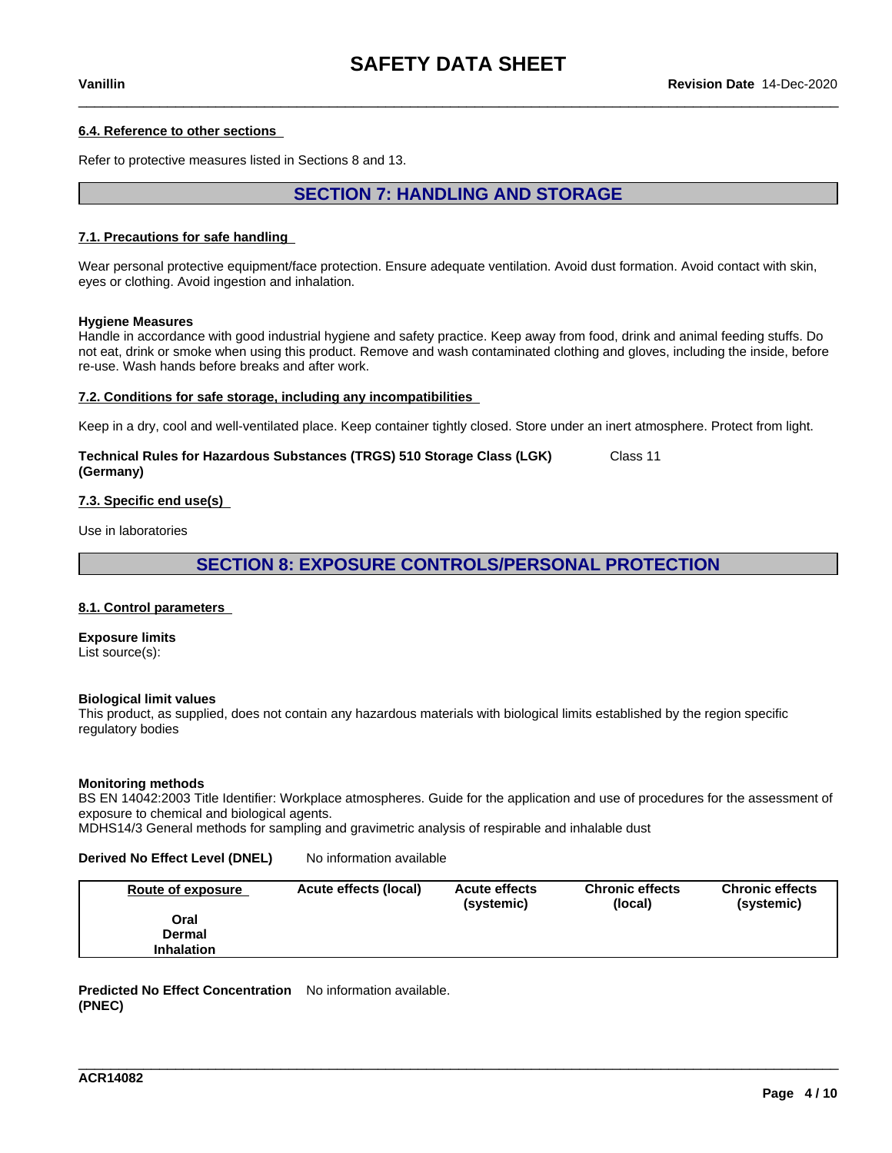# **6.4. Reference to other sections**

Refer to protective measures listed in Sections 8 and 13.

# **SECTION 7: HANDLING AND STORAGE**

### **7.1. Precautions for safe handling**

Wear personal protective equipment/face protection. Ensure adequate ventilation. Avoid dust formation. Avoid contact with skin, eyes or clothing. Avoid ingestion and inhalation.

### **Hygiene Measures**

Handle in accordance with good industrial hygiene and safety practice. Keep away from food, drink and animal feeding stuffs. Do not eat, drink or smoke when using this product. Remove and wash contaminated clothing and gloves, including the inside, before re-use. Wash hands before breaks and after work.

### **7.2. Conditions for safe storage, including any incompatibilities**

Keep in a dry, cool and well-ventilated place. Keep container tightly closed. Store under an inert atmosphere. Protect from light.

### **Technical Rules for Hazardous Substances (TRGS) 510 Storage Class (LGK) (Germany)** Class 11

# **7.3. Specific end use(s)**

Use in laboratories

# **SECTION 8: EXPOSURE CONTROLS/PERSONAL PROTECTION**

### **8.1. Control parameters**

**Exposure limits** List source(s):

### **Biological limit values**

This product, as supplied, does not contain any hazardous materials with biological limits established by the region specific regulatory bodies

### **Monitoring methods**

BS EN 14042:2003 Title Identifier: Workplace atmospheres. Guide for the application and use of procedures for the assessment of exposure to chemical and biological agents.

MDHS14/3 General methods for sampling and gravimetric analysis of respirable and inhalable dust

# **Derived No Effect Level (DNEL)** No information available

| Route of exposure | Acute effects (local) | <b>Acute effects</b><br>(systemic) | <b>Chronic effects</b><br>(local) | <b>Chronic effects</b><br>(systemic) |
|-------------------|-----------------------|------------------------------------|-----------------------------------|--------------------------------------|
| Oral              |                       |                                    |                                   |                                      |
| Dermal            |                       |                                    |                                   |                                      |
| <b>Inhalation</b> |                       |                                    |                                   |                                      |

\_\_\_\_\_\_\_\_\_\_\_\_\_\_\_\_\_\_\_\_\_\_\_\_\_\_\_\_\_\_\_\_\_\_\_\_\_\_\_\_\_\_\_\_\_\_\_\_\_\_\_\_\_\_\_\_\_\_\_\_\_\_\_\_\_\_\_\_\_\_\_\_\_\_\_\_\_\_\_\_\_\_\_\_\_\_\_\_\_\_\_\_\_\_

**Predicted No Effect Concentration** No information available. **(PNEC)**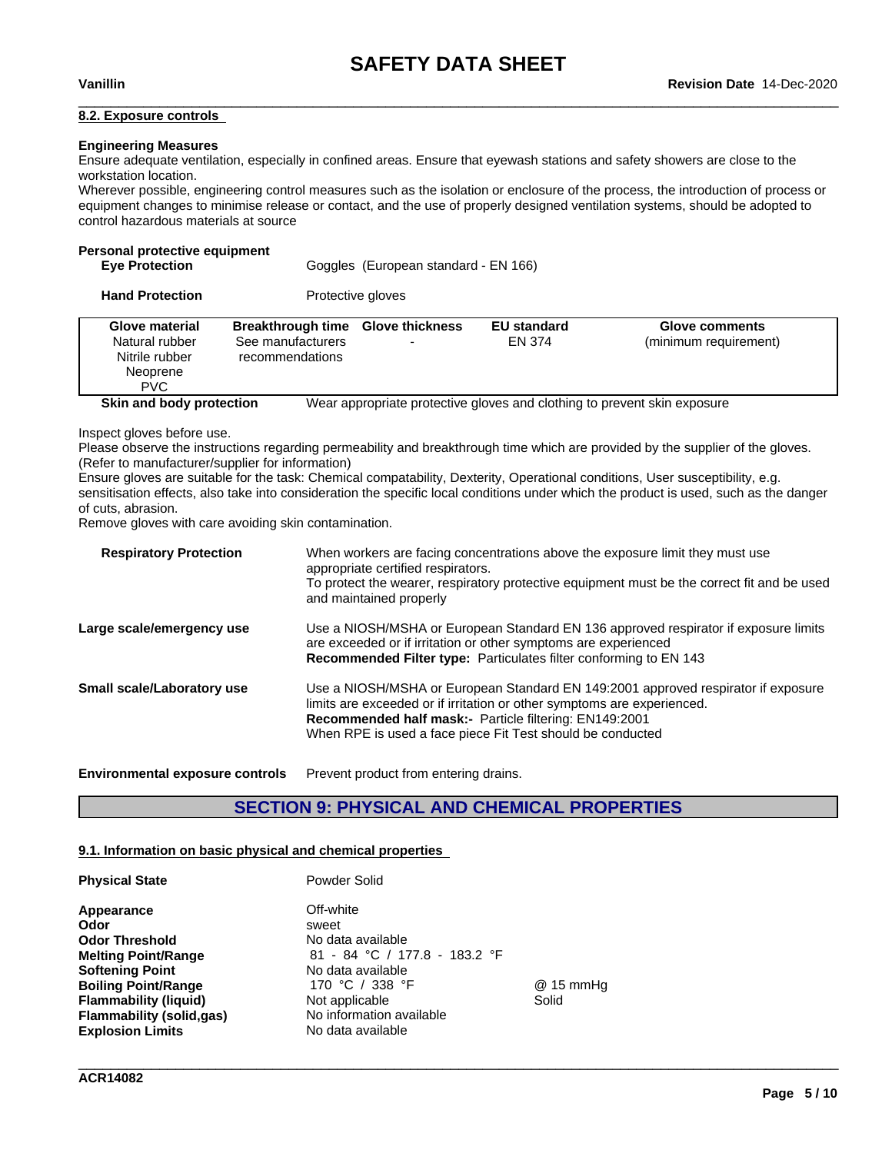### **8.2. Exposure controls**

## **Engineering Measures**

Ensure adequate ventilation, especially in confined areas. Ensure that eyewash stations and safety showers are close to the workstation location.

Wherever possible, engineering control measures such as the isolation or enclosure of the process, the introduction of process or equipment changes to minimise release or contact, and the use of properly designed ventilation systems, should be adopted to control hazardous materials at source

# **Personal protective equipment**

| <b>Eye Protection</b> | Goggles (European standard - EN 166) |
|-----------------------|--------------------------------------|

**Hand Protection** Protective gloves

| Glove material<br>Natural rubber<br>Nitrile rubber<br>Neoprene<br><b>PVC</b> | <b>Breakthrough time Glove thickness</b><br>See manufacturers<br>recommendations | <b>EU standard</b><br><b>EN 374</b> | Glove comments<br>(minimum requirement)                                  |
|------------------------------------------------------------------------------|----------------------------------------------------------------------------------|-------------------------------------|--------------------------------------------------------------------------|
| Skin and body protection                                                     |                                                                                  |                                     | Wear appropriate protective gloves and clothing to prevent skin exposure |

Inspect gloves before use.

Please observe the instructions regarding permeability and breakthrough time which are provided by the supplier of the gloves. (Refer to manufacturer/supplier for information)

Ensure gloves are suitable for the task: Chemical compatability, Dexterity, Operational conditions, User susceptibility, e.g. sensitisation effects, also take into consideration the specific local conditions under which the product is used, such as the danger of cuts, abrasion.

Remove gloves with care avoiding skin contamination.

| When workers are facing concentrations above the exposure limit they must use<br>appropriate certified respirators.<br>To protect the wearer, respiratory protective equipment must be the correct fit and be used<br>and maintained properly                                        |
|--------------------------------------------------------------------------------------------------------------------------------------------------------------------------------------------------------------------------------------------------------------------------------------|
| Use a NIOSH/MSHA or European Standard EN 136 approved respirator if exposure limits<br>are exceeded or if irritation or other symptoms are experienced<br><b>Recommended Filter type:</b> Particulates filter conforming to EN 143                                                   |
| Use a NIOSH/MSHA or European Standard EN 149:2001 approved respirator if exposure<br>limits are exceeded or if irritation or other symptoms are experienced.<br>Recommended half mask:- Particle filtering: EN149:2001<br>When RPE is used a face piece Fit Test should be conducted |
|                                                                                                                                                                                                                                                                                      |

**Environmental exposure controls** Prevent product from entering drains.

# **SECTION 9: PHYSICAL AND CHEMICAL PROPERTIES**

\_\_\_\_\_\_\_\_\_\_\_\_\_\_\_\_\_\_\_\_\_\_\_\_\_\_\_\_\_\_\_\_\_\_\_\_\_\_\_\_\_\_\_\_\_\_\_\_\_\_\_\_\_\_\_\_\_\_\_\_\_\_\_\_\_\_\_\_\_\_\_\_\_\_\_\_\_\_\_\_\_\_\_\_\_\_\_\_\_\_\_\_\_\_

### **9.1. Information on basic physical and chemical properties**

| <b>Physical State</b>                                                                                                                                                                                                     | Powder Solid                                                                                                                                                                        |                     |
|---------------------------------------------------------------------------------------------------------------------------------------------------------------------------------------------------------------------------|-------------------------------------------------------------------------------------------------------------------------------------------------------------------------------------|---------------------|
| Appearance<br>Odor<br><b>Odor Threshold</b><br><b>Melting Point/Range</b><br><b>Softening Point</b><br><b>Boiling Point/Range</b><br><b>Flammability (liquid)</b><br>Flammability (solid, qas)<br><b>Explosion Limits</b> | Off-white<br>sweet<br>No data available<br>81 - 84 °C / 177.8 - 183.2 °F<br>No data available<br>170 °C / 338 °F<br>Not applicable<br>No information available<br>No data available | $@15$ mmHg<br>Solid |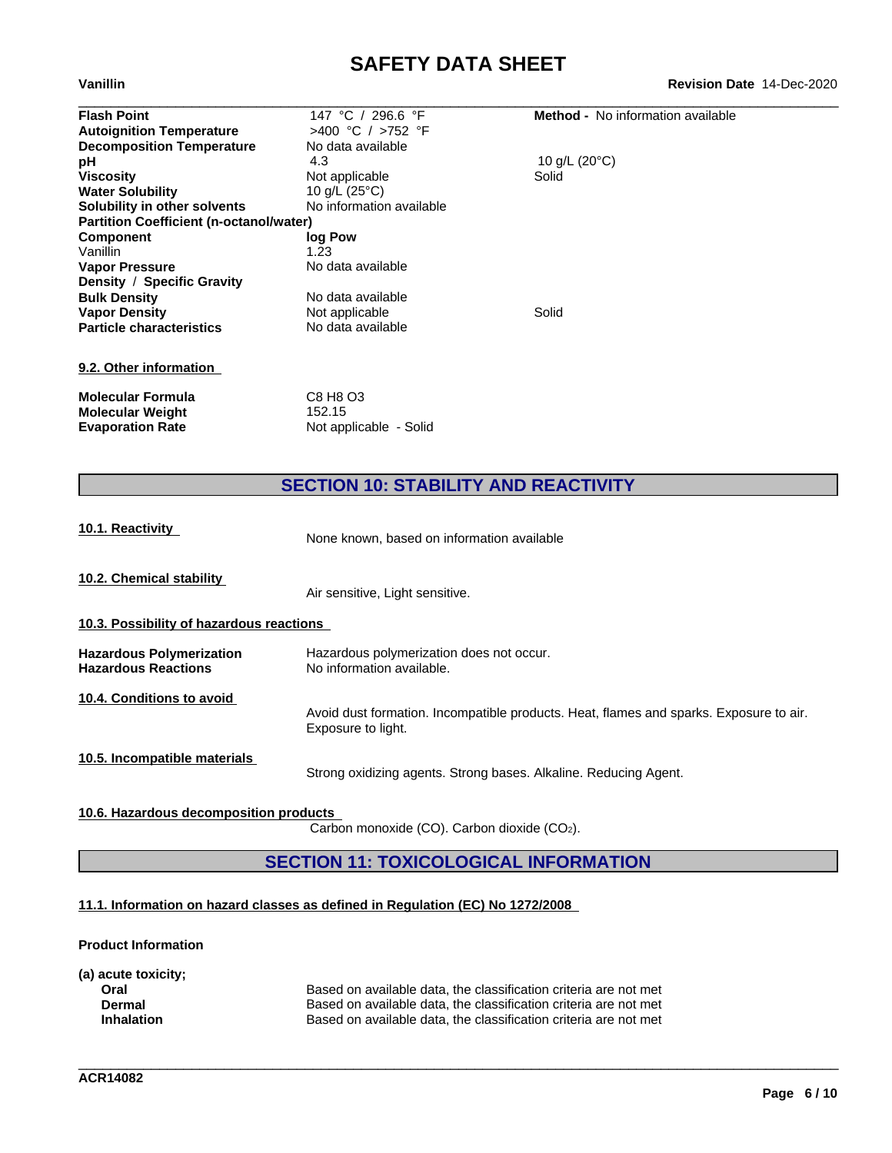# **SAFETY DATA SHEET**<br>Revision Date 14-Dec-2020

| Vanillin                                       |                          | <b>Revision Date 14-Dec-2020</b>         |
|------------------------------------------------|--------------------------|------------------------------------------|
| <b>Flash Point</b>                             | 147 °C / 296.6 °F        | <b>Method -</b> No information available |
| <b>Autoignition Temperature</b>                | >400 °C / >752 °F        |                                          |
| <b>Decomposition Temperature</b>               | No data available        |                                          |
| рH                                             | 4.3                      | 10 g/L $(20^{\circ}C)$                   |
| <b>Viscosity</b>                               | Not applicable           | Solid                                    |
| <b>Water Solubility</b>                        | 10 g/L $(25^{\circ}C)$   |                                          |
| Solubility in other solvents                   | No information available |                                          |
| <b>Partition Coefficient (n-octanol/water)</b> |                          |                                          |
| <b>Component</b>                               | log Pow                  |                                          |
| Vanillin                                       | 1.23                     |                                          |
| <b>Vapor Pressure</b>                          | No data available        |                                          |
| Density / Specific Gravity                     |                          |                                          |
| <b>Bulk Density</b>                            | No data available        |                                          |
| <b>Vapor Density</b>                           | Not applicable           | Solid                                    |
| <b>Particle characteristics</b>                | No data available        |                                          |
| 9.2. Other information                         |                          |                                          |
| <b>Molecular Formula</b>                       | C8 H8 O3                 |                                          |
| <b>Molecular Weight</b>                        | 152.15                   |                                          |
| <b>Evaporation Rate</b>                        | Not applicable - Solid   |                                          |

# **SECTION 10: STABILITY AND REACTIVITY**

| 10.1. Reactivity                                              | None known, based on information available                                                                   |
|---------------------------------------------------------------|--------------------------------------------------------------------------------------------------------------|
| 10.2. Chemical stability                                      | Air sensitive, Light sensitive.                                                                              |
| 10.3. Possibility of hazardous reactions                      |                                                                                                              |
| <b>Hazardous Polymerization</b><br><b>Hazardous Reactions</b> | Hazardous polymerization does not occur.<br>No information available.                                        |
| 10.4. Conditions to avoid                                     | Avoid dust formation. Incompatible products. Heat, flames and sparks. Exposure to air.<br>Exposure to light. |
| 10.5. Incompatible materials                                  | Strong oxidizing agents. Strong bases. Alkaline. Reducing Agent.                                             |

**10.6. Hazardous decomposition products**

Carbon monoxide (CO). Carbon dioxide (CO2).

# **SECTION 11: TOXICOLOGICAL INFORMATION**

\_\_\_\_\_\_\_\_\_\_\_\_\_\_\_\_\_\_\_\_\_\_\_\_\_\_\_\_\_\_\_\_\_\_\_\_\_\_\_\_\_\_\_\_\_\_\_\_\_\_\_\_\_\_\_\_\_\_\_\_\_\_\_\_\_\_\_\_\_\_\_\_\_\_\_\_\_\_\_\_\_\_\_\_\_\_\_\_\_\_\_\_\_\_

# **11.1. Information on hazard classes as defined in Regulation (EC) No 1272/2008**

**Product Information**

| (a) acute toxicity; |                                                                  |
|---------------------|------------------------------------------------------------------|
| Oral                | Based on available data, the classification criteria are not met |
| Dermal              | Based on available data, the classification criteria are not met |
| <b>Inhalation</b>   | Based on available data, the classification criteria are not met |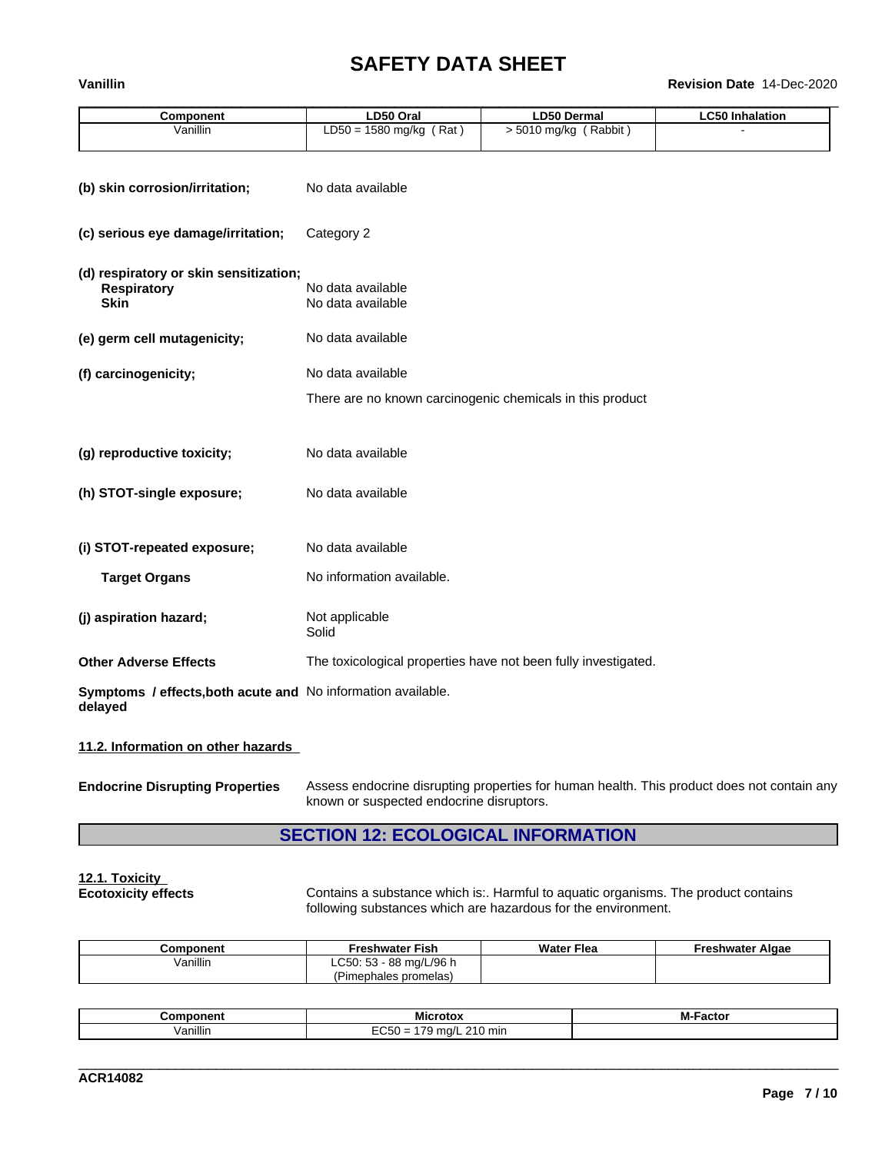# **SAFETY DATA SHEET**<br>Revision Date 14-Dec-2020

# \_\_\_\_\_\_\_\_\_\_\_\_\_\_\_\_\_\_\_\_\_\_\_\_\_\_\_\_\_\_\_\_\_\_\_\_\_\_\_\_\_\_\_\_\_\_\_\_\_\_\_\_\_\_\_\_\_\_\_\_\_\_\_\_\_\_\_\_\_\_\_\_\_\_\_\_\_\_\_\_\_\_\_\_\_\_\_\_\_\_\_\_\_\_ **Vanillin Revision Date** 14-Dec-2020

| Component | ∟D50 Oral                                        | ∟D50 Dermal           | ∟C50 Inhalation |
|-----------|--------------------------------------------------|-----------------------|-----------------|
| Vanillin  | Rat<br>1580 mg/kg<br>$\mathbf{r}$<br>∟טט∟<br>) = | Rabbit)<br>5010 ma/ka |                 |
|           |                                                  |                       |                 |

| (b) skin corrosion/irritation;                                              | No data available                                              |
|-----------------------------------------------------------------------------|----------------------------------------------------------------|
| (c) serious eye damage/irritation;                                          | Category 2                                                     |
| (d) respiratory or skin sensitization;<br><b>Respiratory</b><br><b>Skin</b> | No data available<br>No data available                         |
| (e) germ cell mutagenicity;                                                 | No data available                                              |
| (f) carcinogenicity;                                                        | No data available                                              |
|                                                                             | There are no known carcinogenic chemicals in this product      |
| (g) reproductive toxicity;                                                  | No data available                                              |
| (h) STOT-single exposure;                                                   | No data available                                              |
| (i) STOT-repeated exposure;                                                 | No data available                                              |
| <b>Target Organs</b>                                                        | No information available.                                      |
| (j) aspiration hazard;                                                      | Not applicable<br>Solid                                        |
| <b>Other Adverse Effects</b>                                                | The toxicological properties have not been fully investigated. |
| Symptoms / effects, both acute and No information available.<br>delayed     |                                                                |

# **11.2. Information on other hazards**

| <b>Endocrine Disrupting Properties</b> | Assess endocrine disrupting properties for human health. This product does not contain any |
|----------------------------------------|--------------------------------------------------------------------------------------------|
|                                        | known or suspected endocrine disruptors.                                                   |

# **SECTION 12: ECOLOGICAL INFORMATION**

# **12.1. Toxicity**

Contains a substance which is:. Harmful to aquatic organisms. The product contains following substances which are hazardous for the environment.

| Component | Freshwater Fish                                  | <b>Water Flea</b> | Freshwater Algae |
|-----------|--------------------------------------------------|-------------------|------------------|
| Vanillin  | ` mg/L/96 h<br>LC50: 53<br>88 n.                 |                   |                  |
|           | $\overline{\phantom{a}}$<br>Pimephales promelas) |                   |                  |

| nponent<br>CON. | ---<br>Microtox<br>crotox                          | Factor<br>- IVI |
|-----------------|----------------------------------------------------|-----------------|
| /anillin        | $-0$<br>$\sim$<br>$\Omega$<br>I0 min<br>ma/l<br>51 |                 |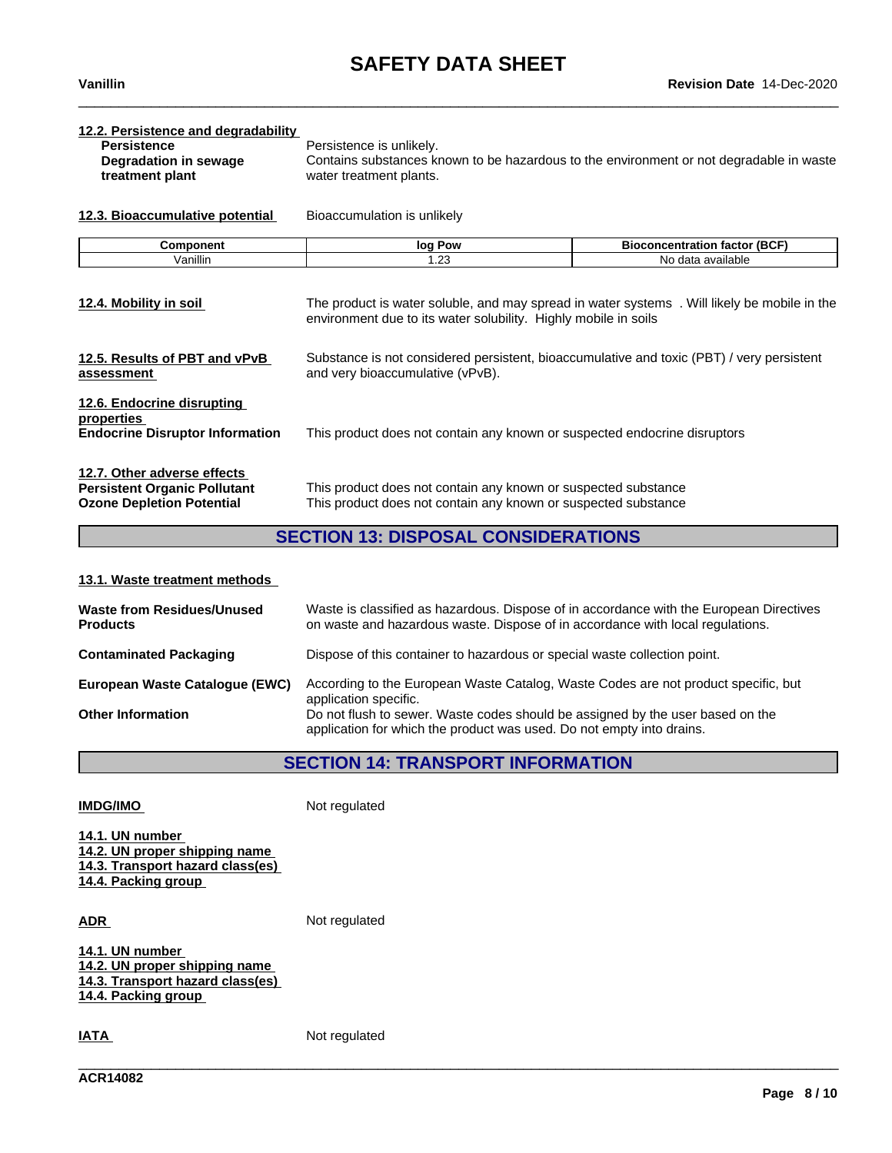| <b>Persistence</b><br>Degradation in sewage<br>treatment plant<br>12.3. Bioaccumulative potential<br>Component<br>Vanillin | Persistence is unlikely.<br>water treatment plants.<br>Bioaccumulation is unlikely<br>log Pow<br>1.23 | Contains substances known to be hazardous to the environment or not degradable in waste<br><b>Bioconcentration factor (BCF)</b><br>No data available |
|----------------------------------------------------------------------------------------------------------------------------|-------------------------------------------------------------------------------------------------------|------------------------------------------------------------------------------------------------------------------------------------------------------|
|                                                                                                                            |                                                                                                       |                                                                                                                                                      |
|                                                                                                                            |                                                                                                       |                                                                                                                                                      |
|                                                                                                                            |                                                                                                       |                                                                                                                                                      |
|                                                                                                                            |                                                                                                       |                                                                                                                                                      |
|                                                                                                                            |                                                                                                       |                                                                                                                                                      |
|                                                                                                                            |                                                                                                       |                                                                                                                                                      |
| 12.4. Mobility in soil                                                                                                     | environment due to its water solubility. Highly mobile in soils                                       | The product is water soluble, and may spread in water systems. Will likely be mobile in the                                                          |
| 12.5. Results of PBT and vPvB<br>assessment                                                                                | and very bioaccumulative (vPvB).                                                                      | Substance is not considered persistent, bioaccumulative and toxic (PBT) / very persistent                                                            |
| 12.6. Endocrine disrupting<br>properties<br><b>Endocrine Disruptor Information</b>                                         | This product does not contain any known or suspected endocrine disruptors                             |                                                                                                                                                      |
| 12.7. Other adverse effects                                                                                                |                                                                                                       |                                                                                                                                                      |
| <b>Persistent Organic Pollutant</b>                                                                                        | This product does not contain any known or suspected substance                                        |                                                                                                                                                      |
| <b>Ozone Depletion Potential</b>                                                                                           | This product does not contain any known or suspected substance                                        |                                                                                                                                                      |
|                                                                                                                            | <b>SECTION 13: DISPOSAL CONSIDERATIONS</b>                                                            |                                                                                                                                                      |

# **13.1. Waste treatment methods**

| <b>Waste from Residues/Unused</b><br><b>Products</b> | Waste is classified as hazardous. Dispose of in accordance with the European Directives<br>on waste and hazardous waste. Dispose of in accordance with local regulations. |
|------------------------------------------------------|---------------------------------------------------------------------------------------------------------------------------------------------------------------------------|
| <b>Contaminated Packaging</b>                        | Dispose of this container to hazardous or special waste collection point.                                                                                                 |
| European Waste Catalogue (EWC)                       | According to the European Waste Catalog, Waste Codes are not product specific, but<br>application specific.                                                               |
| <b>Other Information</b>                             | Do not flush to sewer. Waste codes should be assigned by the user based on the<br>application for which the product was used. Do not empty into drains.                   |

# **SECTION 14: TRANSPORT INFORMATION**

\_\_\_\_\_\_\_\_\_\_\_\_\_\_\_\_\_\_\_\_\_\_\_\_\_\_\_\_\_\_\_\_\_\_\_\_\_\_\_\_\_\_\_\_\_\_\_\_\_\_\_\_\_\_\_\_\_\_\_\_\_\_\_\_\_\_\_\_\_\_\_\_\_\_\_\_\_\_\_\_\_\_\_\_\_\_\_\_\_\_\_\_\_\_

**IMDG/IMO** Not regulated

**14.1. UN number 14.2. UN proper shipping name 14.3. Transport hazard class(es) 14.4. Packing group**

ADR **ADR** Not regulated

**14.1. UN number 14.2. UN proper shipping name 14.3. Transport hazard class(es) 14.4. Packing group**

**IATA** Not regulated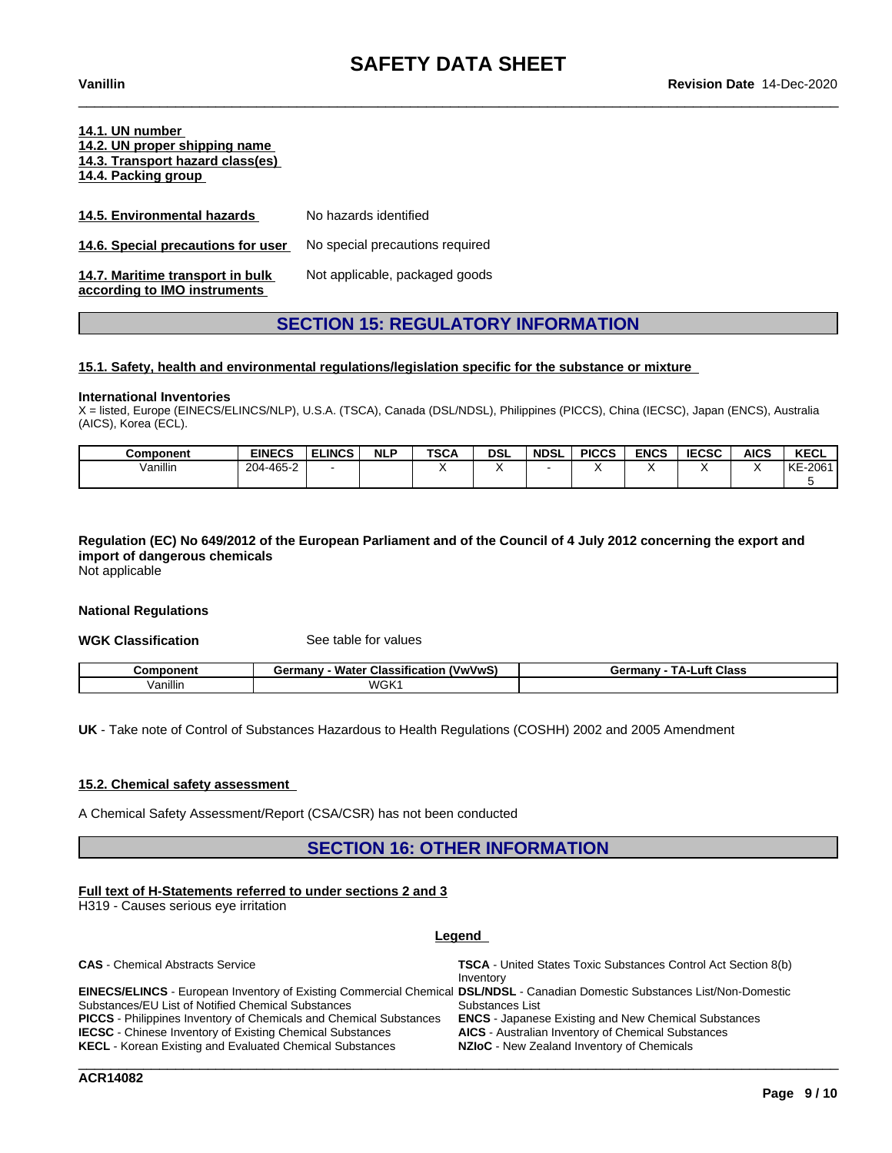# **14.1. UN number 14.2. UN proper shipping name 14.3. Transport hazard class(es) 14.4. Packing group**

| 14.5. Environmental hazards                                      | No hazards identified           |
|------------------------------------------------------------------|---------------------------------|
| 14.6. Special precautions for user                               | No special precautions required |
| 14.7. Maritime transport in bulk<br>according to IMO instruments | Not applicable, packaged goods  |

# **SECTION 15: REGULATORY INFORMATION**

### **15.1. Safety, health and environmental regulations/legislation specific for the substance or mixture**

### **International Inventories**

X = listed, Europe (EINECS/ELINCS/NLP), U.S.A. (TSCA), Canada (DSL/NDSL), Philippines (PICCS), China (IECSC), Japan (ENCS), Australia (AICS), Korea (ECL).

| Component | <b>EINECS</b> | <b>ELINCS</b> | <b>NLP</b> | <b>TSCA</b> | <b>DSL</b> | <b>NDSL</b> | <b>PICCS</b> | <b>ENCS</b> | <b>IECSC</b> | <b>AICS</b> | <b>KECL</b>   |
|-----------|---------------|---------------|------------|-------------|------------|-------------|--------------|-------------|--------------|-------------|---------------|
| /anillin  | 204-465-2     |               |            |             |            |             |              |             |              |             | $-2061$<br>KE |
|           |               |               |            |             |            |             |              |             |              |             |               |

# Regulation (EC) No 649/2012 of the European Parliament and of the Council of 4 July 2012 concerning the export and **import of dangerous chemicals**

Not applicable

### **National Regulations**

**WGK Classification** See table for values

| Component | <br>Water<br>(VwVwS)<br><b>Classification</b><br>Germanv | Class<br>ТΔ-ι<br>∟uft⊹<br>Germany |
|-----------|----------------------------------------------------------|-----------------------------------|
| Vanillin  | <b>WGK1</b>                                              |                                   |

**UK** - Take note of Control of Substances Hazardous to Health Regulations (COSHH) 2002 and 2005 Amendment

# **15.2. Chemical safety assessment**

A Chemical Safety Assessment/Report (CSA/CSR) has not been conducted

# **SECTION 16: OTHER INFORMATION**

### **Full text of H-Statements referred to undersections 2 and 3**

H319 - Causes serious eye irritation

### **Legend**

| <b>CAS</b> - Chemical Abstracts Service                                                                                      | <b>TSCA</b> - United States Toxic Substances Control Act Section 8(b)<br>Inventory |
|------------------------------------------------------------------------------------------------------------------------------|------------------------------------------------------------------------------------|
| EINECS/ELINCS - European Inventory of Existing Commercial Chemical DSL/NDSL - Canadian Domestic Substances List/Non-Domestic |                                                                                    |
| Substances/EU List of Notified Chemical Substances                                                                           | Substances List                                                                    |
| <b>PICCS</b> - Philippines Inventory of Chemicals and Chemical Substances                                                    | <b>ENCS</b> - Japanese Existing and New Chemical Substances                        |
| <b>IECSC</b> - Chinese Inventory of Existing Chemical Substances                                                             | <b>AICS</b> - Australian Inventory of Chemical Substances                          |
| <b>KECL</b> - Korean Existing and Evaluated Chemical Substances                                                              | <b>NZIoC</b> - New Zealand Inventory of Chemicals                                  |